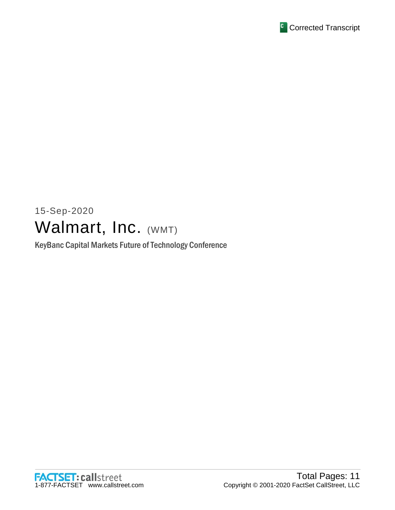

# 15-Sep-2020 Walmart, Inc. (WMT)

KeyBanc Capital Markets Future of Technology Conference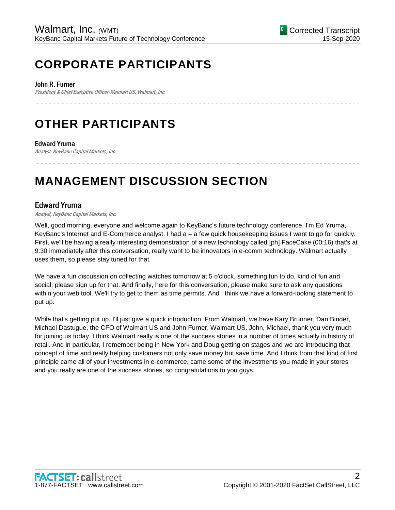# **CORPORATE PARTICIPANTS**

John R. Furner

President & Chief Executive Officer-Walmart US, Walmart, Inc.

# **OTHER PARTICIPANTS**

# Edward Yruma

Analyst, KeyBanc Capital Markets, Inc.

# **MANAGEMENT DISCUSSION SECTION**

# Edward Yruma

Analyst, KeyBanc Capital Markets, Inc.

Well, good morning, everyone and welcome again to KeyBanc's future technology conference. I'm Ed Yruma, KeyBanc's Internet and E-Commerce analyst. I had a – a few quick housekeeping issues I want to go for quickly. First, we'll be having a really interesting demonstration of a new technology called [ph] FaceCake (00:16) that's at 9:30 immediately after this conversation, really want to be innovators in e-comm technology. Walmart actually uses them, so please stay tuned for that.

......................................................................................................................................................................................................................................................

......................................................................................................................................................................................................................................................

We have a fun discussion on collecting watches tomorrow at 5 o'clock, something fun to do, kind of fun and social, please sign up for that. And finally, here for this conversation, please make sure to ask any questions within your web tool. We'll try to get to them as time permits. And I think we have a forward-looking statement to put up.

While that's getting put up, I'll just give a quick introduction. From Walmart, we have Kary Brunner, Dan Binder, Michael Dastugue, the CFO of Walmart US and John Furner, Walmart US. John, Michael, thank you very much for joining us today. I think Walmart really is one of the success stories in a number of times actually in history of retail. And in particular, I remember being in New York and Doug getting on stages and we are introducing that concept of time and really helping customers not only save money but save time. And I think from that kind of first principle came all of your investments in e-commerce, came some of the investments you made in your stores and you really are one of the success stories, so congratulations to you guys.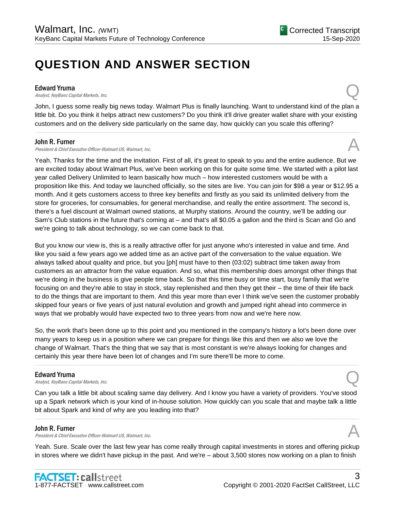# **QUESTION AND ANSWER SECTION**

**Edward Yruma**<br>Analyst, KeyBanc Capital Markets, Inc. Edward Yruma<br>Analyst, KeyBanc Capital Markets, Inc.  $\bigodot$ 

John, I guess some really big news today. Walmart Plus is finally launching. Want to understand kind of the plan a little bit. Do you think it helps attract new customers? Do you think it'll drive greater wallet share with your existing customers and on the delivery side particularly on the same day, how quickly can you scale this offering?

......................................................................................................................................................................................................................................................

### John R. Furner

President & Chief Executive Officer-Walmart US, Walmart, Inc.

Yeah. Thanks for the time and the invitation. First of all, it's great to speak to you and the entire audience. But we are excited today about Walmart Plus, we've been working on this for quite some time. We started with a pilot last year called Delivery Unlimited to learn basically how much – how interested customers would be with a proposition like this. And today we launched officially, so the sites are live. You can join for \$98 a year or \$12.95 a month. And it gets customers access to three key benefits and firstly as you said its unlimited delivery from the store for groceries, for consumables, for general merchandise, and really the entire assortment. The second is, there's a fuel discount at Walmart owned stations, at Murphy stations. Around the country, we'll be adding our Sam's Club stations in the future that's coming at – and that's all \$0.05 a gallon and the third is Scan and Go and we're going to talk about technology, so we can come back to that.

But you know our view is, this is a really attractive offer for just anyone who's interested in value and time. And like you said a few years ago we added time as an active part of the conversation to the value equation. We always talked about quality and price, but you [ph] must have to then (03:02) subtract time taken away from customers as an attractor from the value equation. And so, what this membership does amongst other things that we're doing in the business is give people time back. So that this time busy or time start, busy family that we're focusing on and they're able to stay in stock, stay replenished and then they get their – the time of their life back to do the things that are important to them. And this year more than ever I think we've seen the customer probably skipped four years or five years of just natural evolution and growth and jumped right ahead into commerce in ways that we probably would have expected two to three years from now and we're here now.

So, the work that's been done up to this point and you mentioned in the company's history a lot's been done over many years to keep us in a position where we can prepare for things like this and then we also we love the change of Walmart. That's the thing that we say that is most constant is we're always looking for changes and certainly this year there have been lot of changes and I'm sure there'll be more to come.

......................................................................................................................................................................................................................................................

### Edward Yruma

**Edward Yruma**<br>Analyst, KeyBanc Capital Markets, Inc.  $\bigotimes$ 

Can you talk a little bit about scaling same day delivery. And I know you have a variety of providers. You've stood up a Spark network which is your kind of in-house solution. How quickly can you scale that and maybe talk a little bit about Spark and kind of why are you leading into that?

......................................................................................................................................................................................................................................................

# John R. Furner

President & Chief Executive Officer-Walmart US, Walmart, Inc.

Yeah. Sure. Scale over the last few year has come really through capital investments in stores and offering pickup in stores where we didn't have pickup in the past. And we're – about 3,500 stores now working on a plan to finish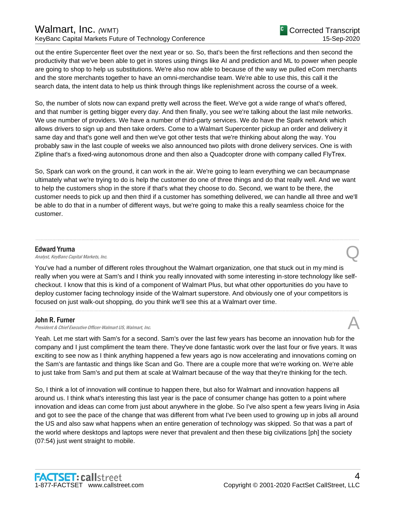# Walmart, Inc. *(WMT)* KeyBanc Capital Markets Future of Technology Conference

out the entire Supercenter fleet over the next year or so. So, that's been the first reflections and then second the productivity that we've been able to get in stores using things like AI and prediction and ML to power when people are going to shop to help us substitutions. We're also now able to because of the way we pulled eCom merchants and the store merchants together to have an omni-merchandise team. We're able to use this, this call it the search data, the intent data to help us think through things like replenishment across the course of a week.

So, the number of slots now can expand pretty well across the fleet. We've got a wide range of what's offered, and that number is getting bigger every day. And then finally, you see we're talking about the last mile networks. We use number of providers. We have a number of third-party services. We do have the Spark network which allows drivers to sign up and then take orders. Come to a Walmart Supercenter pickup an order and delivery it same day and that's gone well and then we've got other tests that we're thinking about along the way. You probably saw in the last couple of weeks we also announced two pilots with drone delivery services. One is with Zipline that's a fixed-wing autonomous drone and then also a Quadcopter drone with company called FlyTrex.

So, Spark can work on the ground, it can work in the air. We're going to learn everything we can becaumpnase ultimately what we're trying to do is help the customer do one of three things and do that really well. And we want to help the customers shop in the store if that's what they choose to do. Second, we want to be there, the customer needs to pick up and then third if a customer has something delivered, we can handle all three and we'll be able to do that in a number of different ways, but we're going to make this a really seamless choice for the customer.

......................................................................................................................................................................................................................................................

# Edward Yruma

Edward Yruma<br>Analyst, KeyBanc Capital Markets, Inc.  $\bigodot$ 

You've had a number of different roles throughout the Walmart organization, one that stuck out in my mind is really when you were at Sam's and I think you really innovated with some interesting in-store technology like selfcheckout. I know that this is kind of a component of Walmart Plus, but what other opportunities do you have to deploy customer facing technology inside of the Walmart superstore. And obviously one of your competitors is focused on just walk-out shopping, do you think we'll see this at a Walmart over time.

......................................................................................................................................................................................................................................................

# John R. Furner

President & Chief Executive Officer-Walmart US, Walmart, Inc.

Yeah. Let me start with Sam's for a second. Sam's over the last few years has become an innovation hub for the company and I just compliment the team there. They've done fantastic work over the last four or five years. It was exciting to see now as I think anything happened a few years ago is now accelerating and innovations coming on the Sam's are fantastic and things like Scan and Go. There are a couple more that we're working on. We're able to just take from Sam's and put them at scale at Walmart because of the way that they're thinking for the tech.

So, I think a lot of innovation will continue to happen there, but also for Walmart and innovation happens all around us. I think what's interesting this last year is the pace of consumer change has gotten to a point where innovation and ideas can come from just about anywhere in the globe. So I've also spent a few years living in Asia and got to see the pace of the change that was different from what I've been used to growing up in jobs all around the US and also saw what happens when an entire generation of technology was skipped. So that was a part of the world where desktops and laptops were never that prevalent and then these big civilizations [ph] the society (07:54) just went straight to mobile.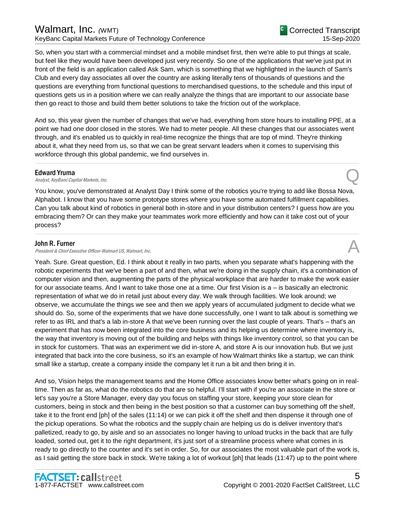# Walmart, Inc. *(*WMT) KeyBanc Capital Markets Future of Technology Conference

So, when you start with a commercial mindset and a mobile mindset first, then we're able to put things at scale, but feel like they would have been developed just very recently. So one of the applications that we've just put in front of the field is an application called Ask Sam, which is something that we highlighted in the launch of Sam's Club and every day associates all over the country are asking literally tens of thousands of questions and the questions are everything from functional questions to merchandised questions, to the schedule and this input of questions gets us in a position where we can really analyze the things that are important to our associate base then go react to those and build them better solutions to take the friction out of the workplace.

And so, this year given the number of changes that we've had, everything from store hours to installing PPE, at a point we had one door closed in the stores. We had to meter people. All these changes that our associates went through, and it's enabled us to quickly in real-time recognize the things that are top of mind. They're thinking about it, what they need from us, so that we can be great servant leaders when it comes to supervising this workforce through this global pandemic, we find ourselves in.

......................................................................................................................................................................................................................................................

# Edward Yruma

Edward Yruma<br>Analyst, KeyBanc Capital Markets, Inc.  $\bigodot$ 

You know, you've demonstrated at Analyst Day I think some of the robotics you're trying to add like Bossa Nova, Alphabot. I know that you have some prototype stores where you have some automated fulfillment capabilities. Can you talk about kind of robotics in general both in-store and in your distribution centers? I guess how are you embracing them? Or can they make your teammates work more efficiently and how can it take cost out of your process?

# John R. Furner

President & Chief Executive Officer-Walmart US, Walmart, Inc.

Yeah. Sure. Great question, Ed. I think about it really in two parts, when you separate what's happening with the robotic experiments that we've been a part of and then, what we're doing in the supply chain, it's a combination of computer vision and then, augmenting the parts of the physical workplace that are harder to make the work easier for our associate teams. And I want to take those one at a time. Our first Vision is a – is basically an electronic representation of what we do in retail just about every day. We walk through facilities. We look around; we observe, we accumulate the things we see and then we apply years of accumulated judgment to decide what we should do. So, some of the experiments that we have done successfully, one I want to talk about is something we refer to as IRL and that's a lab in-store A that we've been running over the last couple of years. That's – that's an experiment that has now been integrated into the core business and its helping us determine where inventory is, the way that inventory is moving out of the building and helps with things like inventory control, so that you can be in stock for customers. That was an experiment we did in-store A, and store A is our innovation hub. But we just integrated that back into the core business, so it's an example of how Walmart thinks like a startup, we can think small like a startup, create a company inside the company let it run a bit and then bring it in.

And so, Vision helps the management teams and the Home Office associates know better what's going on in realtime. Then as far as, what do the robotics do that are so helpful. I'll start with if you're an associate in the store or let's say you're a Store Manager, every day you focus on staffing your store, keeping your store clean for customers, being in stock and then being in the best position so that a customer can buy something off the shelf, take it to the front end [ph] of the sales (11:14) or we can pick it off the shelf and then dispense it through one of the pickup operations. So what the robotics and the supply chain are helping us do is deliver inventory that's palletized, ready to go, by aisle and so an associates no longer having to unload trucks in the back that are fully loaded, sorted out, get it to the right department, it's just sort of a streamline process where what comes in is ready to go directly to the counter and it's set in order. So, for our associates the most valuable part of the work is, as I said getting the store back in stock. We're taking a lot of workout [ph] that leads (11:47) up to the point where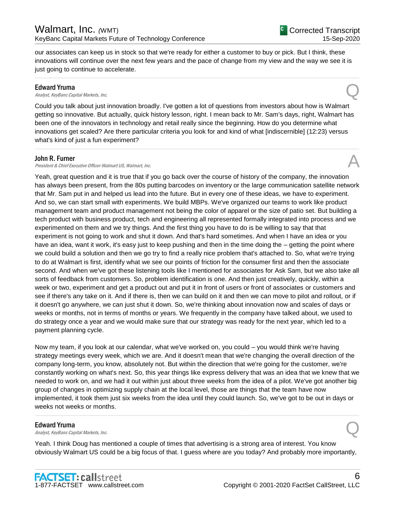our associates can keep us in stock so that we're ready for either a customer to buy or pick. But I think, these innovations will continue over the next few years and the pace of change from my view and the way we see it is just going to continue to accelerate.

......................................................................................................................................................................................................................................................

**Edward Yruma**<br>Analyst, KeyBanc Capital Markets, Inc. Edward Yruma<br>Analyst, KeyBanc Capital Markets, Inc.  $\bigodot$ 

Could you talk about just innovation broadly. I've gotten a lot of questions from investors about how is Walmart getting so innovative. But actually, quick history lesson, right. I mean back to Mr. Sam's days, right, Walmart has been one of the innovators in technology and retail really since the beginning. How do you determine what innovations get scaled? Are there particular criteria you look for and kind of what [indiscernible] (12:23) versus what's kind of just a fun experiment?

......................................................................................................................................................................................................................................................

## John R. Furner

President & Chief Executive Officer-Walmart US, Walmart, Inc.

Yeah, great question and it is true that if you go back over the course of history of the company, the innovation has always been present, from the 80s putting barcodes on inventory or the large communication satellite network that Mr. Sam put in and helped us lead into the future. But in every one of these ideas, we have to experiment. And so, we can start small with experiments. We build MBPs. We've organized our teams to work like product management team and product management not being the color of apparel or the size of patio set. But building a tech product with business product, tech and engineering all represented formally integrated into process and we experimented on them and we try things. And the first thing you have to do is be willing to say that that experiment is not going to work and shut it down. And that's hard sometimes. And when I have an idea or you have an idea, want it work, it's easy just to keep pushing and then in the time doing the – getting the point where we could build a solution and then we go try to find a really nice problem that's attached to. So, what we're trying to do at Walmart is first, identify what we see our points of friction for the consumer first and then the associate second. And when we've got these listening tools like I mentioned for associates for Ask Sam, but we also take all sorts of feedback from customers. So, problem identification is one. And then just creatively, quickly, within a week or two, experiment and get a product out and put it in front of users or front of associates or customers and see if there's any take on it. And if there is, then we can build on it and then we can move to pilot and rollout, or if it doesn't go anywhere, we can just shut it down. So, we're thinking about innovation now and scales of days or weeks or months, not in terms of months or years. We frequently in the company have talked about, we used to do strategy once a year and we would make sure that our strategy was ready for the next year, which led to a payment planning cycle.

Now my team, if you look at our calendar, what we've worked on, you could – you would think we're having strategy meetings every week, which we are. And it doesn't mean that we're changing the overall direction of the company long-term, you know, absolutely not. But within the direction that we're going for the customer, we're constantly working on what's next. So, this year things like express delivery that was an idea that we knew that we needed to work on, and we had it out within just about three weeks from the idea of a pilot. We've got another big group of changes in optimizing supply chain at the local level, those are things that the team have now implemented, it took them just six weeks from the idea until they could launch. So, we've got to be out in days or weeks not weeks or months.

**Edward Yruma**<br>Analyst, KeyBanc Capital Markets, Inc. Edward Yruma<br>Analyst, KeyBanc Capital Markets, Inc.  $\bigodot$ 

Yeah. I think Doug has mentioned a couple of times that advertising is a strong area of interest. You know obviously Walmart US could be a big focus of that. I guess where are you today? And probably more importantly,

......................................................................................................................................................................................................................................................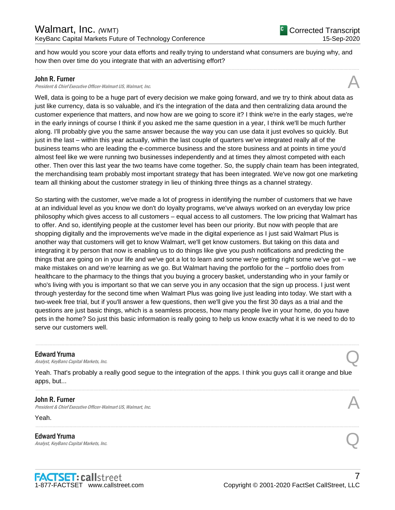and how would you score your data efforts and really trying to understand what consumers are buying why, and how then over time do you integrate that with an advertising effort?

......................................................................................................................................................................................................................................................

### John R. Furner

President & Chief Executive Officer-Walmart US, Walmart, Inc.

Well, data is going to be a huge part of every decision we make going forward, and we try to think about data as just like currency, data is so valuable, and it's the integration of the data and then centralizing data around the customer experience that matters, and now how are we going to score it? I think we're in the early stages, we're in the early innings of course I think if you asked me the same question in a year, I think we'll be much further along. I'll probably give you the same answer because the way you can use data it just evolves so quickly. But just in the last – within this year actually, within the last couple of quarters we've integrated really all of the business teams who are leading the e-commerce business and the store business and at points in time you'd almost feel like we were running two businesses independently and at times they almost competed with each other. Then over this last year the two teams have come together. So, the supply chain team has been integrated, the merchandising team probably most important strategy that has been integrated. We've now got one marketing team all thinking about the customer strategy in lieu of thinking three things as a channel strategy.

So starting with the customer, we've made a lot of progress in identifying the number of customers that we have at an individual level as you know we don't do loyalty programs, we've always worked on an everyday low price philosophy which gives access to all customers – equal access to all customers. The low pricing that Walmart has to offer. And so, identifying people at the customer level has been our priority. But now with people that are shopping digitally and the improvements we've made in the digital experience as I just said Walmart Plus is another way that customers will get to know Walmart, we'll get know customers. But taking on this data and integrating it by person that now is enabling us to do things like give you push notifications and predicting the things that are going on in your life and we've got a lot to learn and some we're getting right some we've got – we make mistakes on and we're learning as we go. But Walmart having the portfolio for the – portfolio does from healthcare to the pharmacy to the things that you buying a grocery basket, understanding who in your family or who's living with you is important so that we can serve you in any occasion that the sign up process. I just went through yesterday for the second time when Walmart Plus was going live just leading into today. We start with a two-week free trial, but if you'll answer a few questions, then we'll give you the first 30 days as a trial and the questions are just basic things, which is a seamless process, how many people live in your home, do you have pets in the home? So just this basic information is really going to help us know exactly what it is we need to do to serve our customers well.

**Edward Yruma**<br>Analyst, KeyBanc Capital Markets, Inc. Edward Yruma<br>Analyst, KeyBanc Capital Markets, Inc. Quarter Capital Markets, Inc.

Yeah. That's probably a really good segue to the integration of the apps. I think you guys call it orange and blue apps, but...

......................................................................................................................................................................................................................................................

......................................................................................................................................................................................................................................................

......................................................................................................................................................................................................................................................

# John R. Furner

President & Chief Executive Officer-Walmart US, Walmart, Inc.

Yeah.

Edward Yruma Edward Yruma<br>Analyst, KeyBanc Capital Markets, Inc. Quarter Capital Controls and Controls of Controls of Controls and Controls (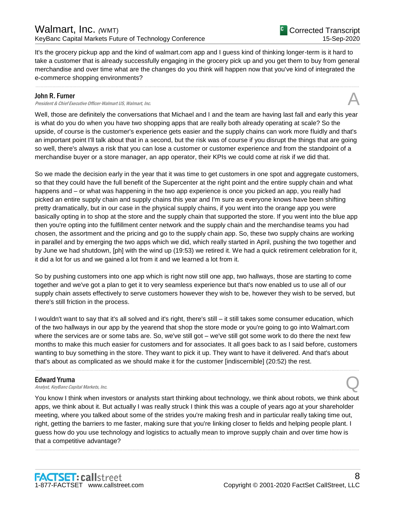It's the grocery pickup app and the kind of walmart.com app and I guess kind of thinking longer-term is it hard to take a customer that is already successfully engaging in the grocery pick up and you get them to buy from general merchandise and over time what are the changes do you think will happen now that you've kind of integrated the e-commerce shopping environments?

......................................................................................................................................................................................................................................................

### John R. Furner

President & Chief Executive Officer-Walmart US, Walmart, Inc.

Well, those are definitely the conversations that Michael and I and the team are having last fall and early this year is what do you do when you have two shopping apps that are really both already operating at scale? So the upside, of course is the customer's experience gets easier and the supply chains can work more fluidly and that's an important point I'll talk about that in a second, but the risk was of course if you disrupt the things that are going so well, there's always a risk that you can lose a customer or customer experience and from the standpoint of a merchandise buyer or a store manager, an app operator, their KPIs we could come at risk if we did that.

So we made the decision early in the year that it was time to get customers in one spot and aggregate customers, so that they could have the full benefit of the Supercenter at the right point and the entire supply chain and what happens and – or what was happening in the two app experience is once you picked an app, you really had picked an entire supply chain and supply chains this year and I'm sure as everyone knows have been shifting pretty dramatically, but in our case in the physical supply chains, if you went into the orange app you were basically opting in to shop at the store and the supply chain that supported the store. If you went into the blue app then you're opting into the fulfillment center network and the supply chain and the merchandise teams you had chosen, the assortment and the pricing and go to the supply chain app. So, these two supply chains are working in parallel and by emerging the two apps which we did, which really started in April, pushing the two together and by June we had shutdown, [ph] with the wind up (19:53) we retired it. We had a quick retirement celebration for it, it did a lot for us and we gained a lot from it and we learned a lot from it.

So by pushing customers into one app which is right now still one app, two hallways, those are starting to come together and we've got a plan to get it to very seamless experience but that's now enabled us to use all of our supply chain assets effectively to serve customers however they wish to be, however they wish to be served, but there's still friction in the process.

I wouldn't want to say that it's all solved and it's right, there's still – it still takes some consumer education, which of the two hallways in our app by the yearend that shop the store mode or you're going to go into Walmart.com where the services are or some tabs are. So, we've still got – we've still got some work to do there the next few months to make this much easier for customers and for associates. It all goes back to as I said before, customers wanting to buy something in the store. They want to pick it up. They want to have it delivered. And that's about that's about as complicated as we should make it for the customer [indiscernible] (20:52) the rest.

......................................................................................................................................................................................................................................................

# Edward Yruma

Edward Yruma<br>Analyst, KeyBanc Capital Markets, Inc. Quarter Capital Markets, Inc.

You know I think when investors or analysts start thinking about technology, we think about robots, we think about apps, we think about it. But actually I was really struck I think this was a couple of years ago at your shareholder meeting, where you talked about some of the strides you're making fresh and in particular really taking time out, right, getting the barriers to me faster, making sure that you're linking closer to fields and helping people plant. I guess how do you use technology and logistics to actually mean to improve supply chain and over time how is that a competitive advantage?

......................................................................................................................................................................................................................................................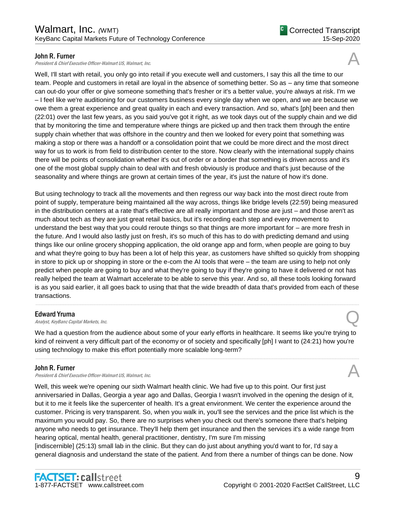# John R. Furner

President & Chief Executive Officer-Walmart US, Walmart, Inc.

Well, I'll start with retail, you only go into retail if you execute well and customers, I say this all the time to our team. People and customers in retail are loyal in the absence of something better. So as – any time that someone can out-do your offer or give someone something that's fresher or it's a better value, you're always at risk. I'm we – I feel like we're auditioning for our customers business every single day when we open, and we are because we owe them a great experience and great quality in each and every transaction. And so, what's [ph] been and then (22:01) over the last few years, as you said you've got it right, as we took days out of the supply chain and we did that by monitoring the time and temperature where things are picked up and then track them through the entire supply chain whether that was offshore in the country and then we looked for every point that something was making a stop or there was a handoff or a consolidation point that we could be more direct and the most direct way for us to work is from field to distribution center to the store. Now clearly with the international supply chains there will be points of consolidation whether it's out of order or a border that something is driven across and it's one of the most global supply chain to deal with and fresh obviously is produce and that's just because of the seasonality and where things are grown at certain times of the year, it's just the nature of how it's done.

But using technology to track all the movements and then regress our way back into the most direct route from point of supply, temperature being maintained all the way across, things like bridge levels (22:59) being measured in the distribution centers at a rate that's effective are all really important and those are just – and those aren't as much about tech as they are just great retail basics, but it's recording each step and every movement to understand the best way that you could reroute things so that things are more important for – are more fresh in the future. And I would also lastly just on fresh, it's so much of this has to do with predicting demand and using things like our online grocery shopping application, the old orange app and form, when people are going to buy and what they're going to buy has been a lot of help this year, as customers have shifted so quickly from shopping in store to pick up or shopping in store or the e-com the AI tools that were – the team are using to help not only predict when people are going to buy and what they're going to buy if they're going to have it delivered or not has really helped the team at Walmart accelerate to be able to serve this year. And so, all these tools looking forward is as you said earlier, it all goes back to using that that the wide breadth of data that's provided from each of these transactions.

# Edward Yruma

**Edward Yruma**<br>Analyst, KeyBanc Capital Markets, Inc.  $\bigotimes$ 

We had a question from the audience about some of your early efforts in healthcare. It seems like you're trying to kind of reinvent a very difficult part of the economy or of society and specifically [ph] I want to (24:21) how you're using technology to make this effort potentially more scalable long-term?

......................................................................................................................................................................................................................................................

......................................................................................................................................................................................................................................................

# John R. Furner

President & Chief Executive Officer-Walmart US, Walmart, Inc.

Well, this week we're opening our sixth Walmart health clinic. We had five up to this point. Our first just anniversaried in Dallas, Georgia a year ago and Dallas, Georgia I wasn't involved in the opening the design of it, but it to me it feels like the supercenter of health. It's a great environment. We center the experience around the customer. Pricing is very transparent. So, when you walk in, you'll see the services and the price list which is the maximum you would pay. So, there are no surprises when you check out there's someone there that's helping anyone who needs to get insurance. They'll help them get insurance and then the services it's a wide range from hearing optical, mental health, general practitioner, dentistry, I'm sure I'm missing [indiscernible] (25:13) small lab in the clinic. But they can do just about anything you'd want to for, I'd say a

general diagnosis and understand the state of the patient. And from there a number of things can be done. Now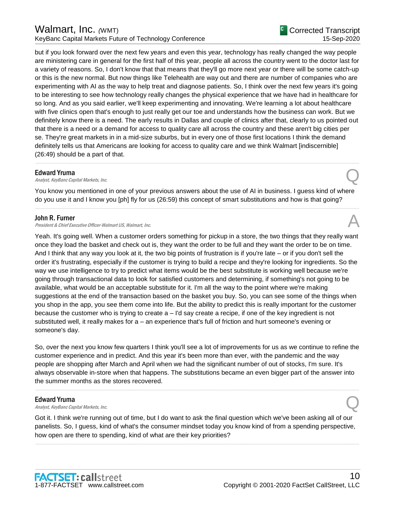# Walmart, Inc. *(*WMT) KeyBanc Capital Markets Future of Technology Conference

but if you look forward over the next few years and even this year, technology has really changed the way people are ministering care in general for the first half of this year, people all across the country went to the doctor last for a variety of reasons. So, I don't know that that means that they'll go more next year or there will be some catch-up or this is the new normal. But now things like Telehealth are way out and there are number of companies who are experimenting with AI as the way to help treat and diagnose patients. So, I think over the next few years it's going to be interesting to see how technology really changes the physical experience that we have had in healthcare for so long. And as you said earlier, we'll keep experimenting and innovating. We're learning a lot about healthcare with five clinics open that's enough to just really get our toe and understands how the business can work. But we definitely know there is a need. The early results in Dallas and couple of clinics after that, clearly to us pointed out that there is a need or a demand for access to quality care all across the country and these aren't big cities per se. They're great markets in in a mid-size suburbs, but in every one of those first locations I think the demand definitely tells us that Americans are looking for access to quality care and we think Walmart [indiscernible] (26:49) should be a part of that.

## Edward Yruma

Edward Yruma<br>Analyst, KeyBanc Capital Markets, Inc.  $\bigodot$ 

You know you mentioned in one of your previous answers about the use of AI in business. I guess kind of where do you use it and I know you [ph] fly for us (26:59) this concept of smart substitutions and how is that going? ......................................................................................................................................................................................................................................................

......................................................................................................................................................................................................................................................

# John R. Furner

**John R. Furner**<br>President & Chief Executive Officer-Walmart US, Walmart, Inc. And the comparation of the comparation of the chi

Yeah. It's going well. When a customer orders something for pickup in a store, the two things that they really want once they load the basket and check out is, they want the order to be full and they want the order to be on time. And I think that any way you look at it, the two big points of frustration is if you're late – or if you don't sell the order it's frustrating, especially if the customer is trying to build a recipe and they're looking for ingredients. So the way we use intelligence to try to predict what items would be the best substitute is working well because we're going through transactional data to look for satisfied customers and determining, if something's not going to be available, what would be an acceptable substitute for it. I'm all the way to the point where we're making suggestions at the end of the transaction based on the basket you buy. So, you can see some of the things when you shop in the app, you see them come into life. But the ability to predict this is really important for the customer because the customer who is trying to create a – I'd say create a recipe, if one of the key ingredient is not substituted well, it really makes for a – an experience that's full of friction and hurt someone's evening or someone's day.

So, over the next you know few quarters I think you'll see a lot of improvements for us as we continue to refine the customer experience and in predict. And this year it's been more than ever, with the pandemic and the way people are shopping after March and April when we had the significant number of out of stocks, I'm sure. It's always observable in-store when that happens. The substitutions became an even bigger part of the answer into the summer months as the stores recovered.

......................................................................................................................................................................................................................................................

**Edward Yruma**<br>Analyst, KeyBanc Capital Markets, Inc. Edward Yruma<br>Analyst, KeyBanc Capital Markets, Inc.  $\bigodot$ 

Got it. I think we're running out of time, but I do want to ask the final question which we've been asking all of our panelists. So, I guess, kind of what's the consumer mindset today you know kind of from a spending perspective, how open are there to spending, kind of what are their key priorities?

......................................................................................................................................................................................................................................................